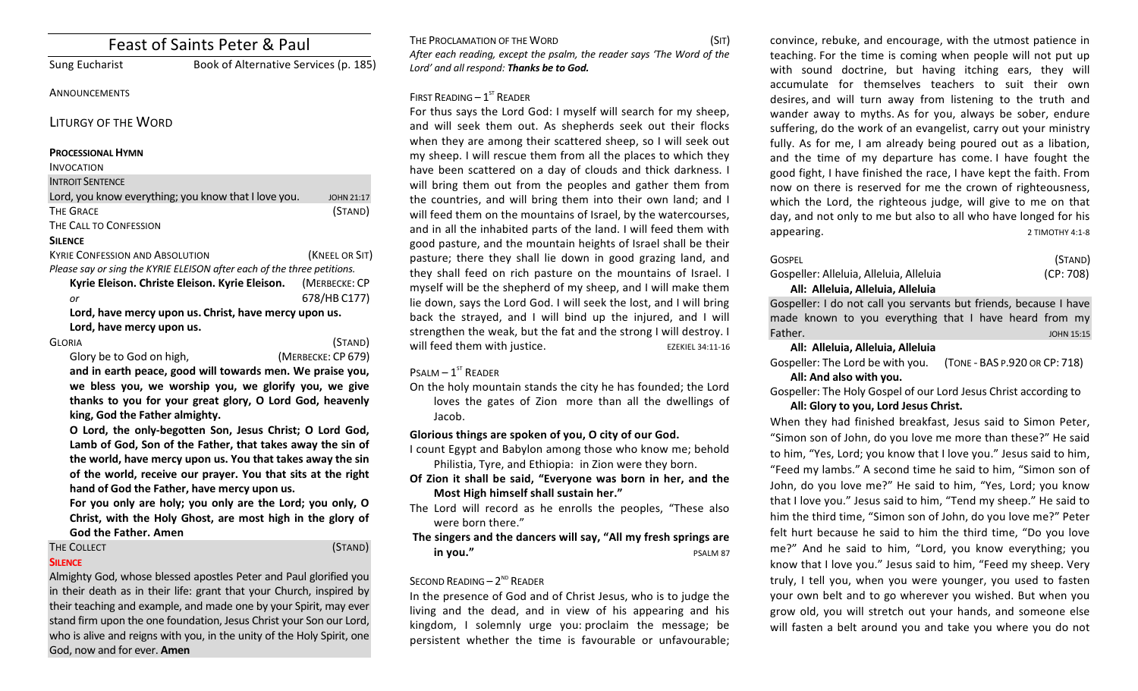# Feast of Saints Peter & Paul

Sung Eucharist Book of Alternative Services (p. 185)

## **ANNOUNCEMENTS**

LITURGY OF THE WORD

#### **PROCESSIONAL HYMN**

## INVOCATION

| <b>INTROIT SENTENCE</b>                                                 |                |  |
|-------------------------------------------------------------------------|----------------|--|
| Lord, you know everything; you know that I love you.                    | JOHN 21:17     |  |
| <b>THE GRACE</b>                                                        | (STAND)        |  |
| THE CALL TO CONFESSION                                                  |                |  |
| <b>SILENCE</b>                                                          |                |  |
| <b>KYRIE CONFESSION AND ABSOLUTION</b>                                  | (KNEEL OR SIT) |  |
| Please say or sing the KYRIE ELEISON after each of the three petitions. |                |  |
| Kyrie Eleison. Christe Eleison. Kyrie Eleison. (MERBECKE: CP            |                |  |

*or* 678/HB C177) Lord, have mercy upon us. Christ, have mercy upon us. Lord, have mercy upon us.

| Gloria                   | (STAND)            |
|--------------------------|--------------------|
| Glory be to God on high, | (MERBECKE: CP 679) |

and in earth peace, good will towards men. We praise you, we bless you, we worship you, we glorify you, we give thanks to you for your great glory, O Lord God, heavenly king, God the Father almighty.

O Lord, the only-begotten Son, Jesus Christ; O Lord God, Lamb of God, Son of the Father, that takes away the sin of the world, have mercy upon us. You that takes away the sin of the world, receive our prayer. You that sits at the right hand of God the Father, have mercy upon us.

For you only are holy; you only are the Lord; you only, O Christ, with the Holy Ghost, are most high in the glory of **God the Father. Amen**

#### THE COLLECT (STAND)

## **SILENCE**

Almighty God, whose blessed apostles Peter and Paul glorified you in their death as in their life: grant that your Church, inspired by their teaching and example, and made one by your Spirit, may ever stand firm upon the one foundation, Jesus Christ your Son our Lord, who is alive and reigns with you, in the unity of the Holy Spirit, one God, now and for ever. **Amen** 

THE PROCLAMATION OF THE WORD (SIT) After each reading, except the psalm, the reader says 'The Word of the Lord' and all respond: **Thanks be to God.** 

## FIRST READING  $-1^{ST}$  READER

For thus says the Lord God: I myself will search for my sheep, and will seek them out. As shepherds seek out their flocks when they are among their scattered sheep, so I will seek out my sheep. I will rescue them from all the places to which they have been scattered on a day of clouds and thick darkness. I will bring them out from the peoples and gather them from the countries, and will bring them into their own land; and I will feed them on the mountains of Israel, by the watercourses, and in all the inhabited parts of the land. I will feed them with good pasture, and the mountain heights of Israel shall be their pasture; there they shall lie down in good grazing land, and they shall feed on rich pasture on the mountains of Israel. I myself will be the shepherd of my sheep, and I will make them lie down, says the Lord God. I will seek the lost, and I will bring back the strayed, and I will bind up the injured, and I will strengthen the weak, but the fat and the strong I will destroy. I will feed them with justice. The example of the exercise of the example of the example of the example of the example of the example of the example of the example of the example of the example of the example of the example

## $P$ SALM  $-1$ <sup>ST</sup> READER

On the holy mountain stands the city he has founded; the Lord loves the gates of Zion more than all the dwellings of Jacob.

## Glorious things are spoken of you, O city of our God.

- I count Egypt and Babylon among those who know me; behold Philistia, Tyre, and Ethiopia: in Zion were they born.
- **Of Zion it shall be said, "Everyone was born in her, and the Most High himself shall sustain her."**
- The Lord will record as he enrolls the peoples, "These also were born there."
- The singers and the dancers will say, "All my fresh springs are **in you."** PSALM 87

## SECOND READING  $- 2<sup>ND</sup>$  READER

In the presence of God and of Christ Jesus, who is to judge the living and the dead, and in view of his appearing and his kingdom, I solemnly urge you: proclaim the message; be persistent whether the time is favourable or unfavourable:

convince, rebuke, and encourage, with the utmost patience in teaching. For the time is coming when people will not put up with sound doctrine, but having itching ears, they will accumulate for themselves teachers to suit their own desires, and will turn away from listening to the truth and wander away to myths. As for you, always be sober, endure suffering, do the work of an evangelist, carry out your ministry fully. As for me, I am already being poured out as a libation, and the time of my departure has come. I have fought the good fight, I have finished the race, I have kept the faith. From now on there is reserved for me the crown of righteousness, which the Lord, the righteous judge, will give to me on that day, and not only to me but also to all who have longed for his appearing. The contract of the contract of the contract of the contract of the contract of the contract of the contract of the contract of the contract of the contract of the contract of the contract of the contract of the

| Gospel                                  | (STAND)   |
|-----------------------------------------|-----------|
| Gospeller: Alleluia, Alleluia, Alleluia | (CP: 708) |
| All: Alleluia, Alleluia, Alleluia       |           |

Gospeller: I do not call you servants but friends, because I have made known to you everything that I have heard from my Father. JOHN 15:15

## **All: Alleluia, Alleluia, Alleluia**

Gospeller: The Lord be with you. (TONE - BAS P.920 OR CP: 718) All: And also with you.

Gospeller: The Holy Gospel of our Lord Jesus Christ according to

## All: Glory to you, Lord Jesus Christ.

When they had finished breakfast, Jesus said to Simon Peter, "Simon son of John, do you love me more than these?" He said to him, "Yes, Lord; you know that I love you." Jesus said to him, "Feed my lambs." A second time he said to him, "Simon son of John, do you love me?" He said to him, "Yes, Lord; you know that I love you." Jesus said to him, "Tend my sheep." He said to him the third time, "Simon son of John, do you love me?" Peter felt hurt because he said to him the third time, "Do you love me?" And he said to him, "Lord, you know everything; you know that I love you." Jesus said to him, "Feed my sheep. Very truly, I tell you, when you were younger, you used to fasten your own belt and to go wherever you wished. But when you grow old, you will stretch out your hands, and someone else will fasten a belt around you and take you where you do not